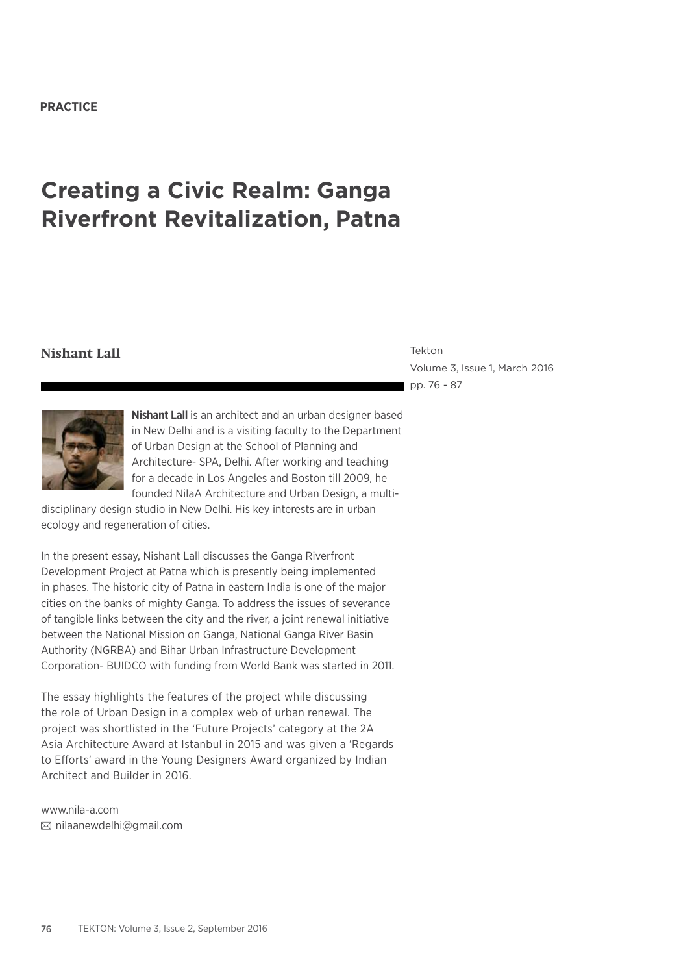#### **PRACTICE**

# **Creating a Civic Realm: Ganga Riverfront Revitalization, Patna**

# **Nishant Lall** Tekton

Volume 3, Issue 1, March 2016 pp. 76 - 87



**Nishant Lall** is an architect and an urban designer based in New Delhi and is a visiting faculty to the Department of Urban Design at the School of Planning and Architecture- SPA, Delhi. After working and teaching for a decade in Los Angeles and Boston till 2009, he founded NilaA Architecture and Urban Design, a multi-

disciplinary design studio in New Delhi. His key interests are in urban ecology and regeneration of cities.

In the present essay, Nishant Lall discusses the Ganga Riverfront Development Project at Patna which is presently being implemented in phases. The historic city of Patna in eastern India is one of the major cities on the banks of mighty Ganga. To address the issues of severance of tangible links between the city and the river, a joint renewal initiative between the National Mission on Ganga, National Ganga River Basin Authority (NGRBA) and Bihar Urban Infrastructure Development Corporation- BUIDCO with funding from World Bank was started in 2011.

The essay highlights the features of the project while discussing the role of Urban Design in a complex web of urban renewal. The project was shortlisted in the 'Future Projects' category at the 2A Asia Architecture Award at Istanbul in 2015 and was given a 'Regards to Efforts' award in the Young Designers Award organized by Indian Architect and Builder in 2016.

www.nila-a.com nilaanewdelhi@gmail.com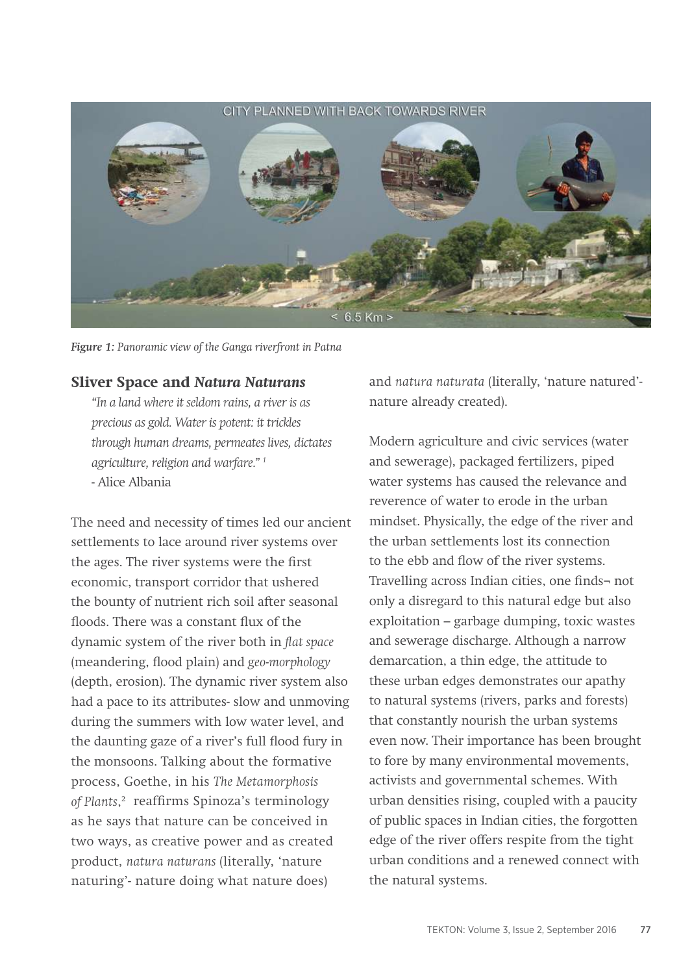# CITY PLANNED WITH BACK TOWARDS RIVER  $< 6.5$  Km  $>$

*Figure 1: Panoramic view of the Ganga riverfront in Patna*

### **Sliver Space and** *Natura Naturans*

*"In a land where it seldom rains, a river is as precious as gold. Water is potent: it trickles through human dreams, permeates lives, dictates agriculture, religion and warfare." 1* - Alice Albania

The need and necessity of times led our ancient settlements to lace around river systems over the ages. The river systems were the first economic, transport corridor that ushered the bounty of nutrient rich soil after seasonal floods. There was a constant flux of the dynamic system of the river both in *flat space*  (meandering, flood plain) and *geo-morphology*  (depth, erosion). The dynamic river system also had a pace to its attributes- slow and unmoving during the summers with low water level, and the daunting gaze of a river's full flood fury in the monsoons. Talking about the formative process, Goethe, in his *The Metamorphosis*  of Plants,<sup>2</sup> reaffirms Spinoza's terminology as he says that nature can be conceived in two ways, as creative power and as created product, *natura naturans* (literally, 'nature naturing'- nature doing what nature does)

and *natura naturata* (literally, 'nature natured' nature already created).

Modern agriculture and civic services (water and sewerage), packaged fertilizers, piped water systems has caused the relevance and reverence of water to erode in the urban mindset. Physically, the edge of the river and the urban settlements lost its connection to the ebb and flow of the river systems. Travelling across Indian cities, one finds¬ not only a disregard to this natural edge but also exploitation – garbage dumping, toxic wastes and sewerage discharge. Although a narrow demarcation, a thin edge, the attitude to these urban edges demonstrates our apathy to natural systems (rivers, parks and forests) that constantly nourish the urban systems even now. Their importance has been brought to fore by many environmental movements, activists and governmental schemes. With urban densities rising, coupled with a paucity of public spaces in Indian cities, the forgotten edge of the river offers respite from the tight urban conditions and a renewed connect with the natural systems.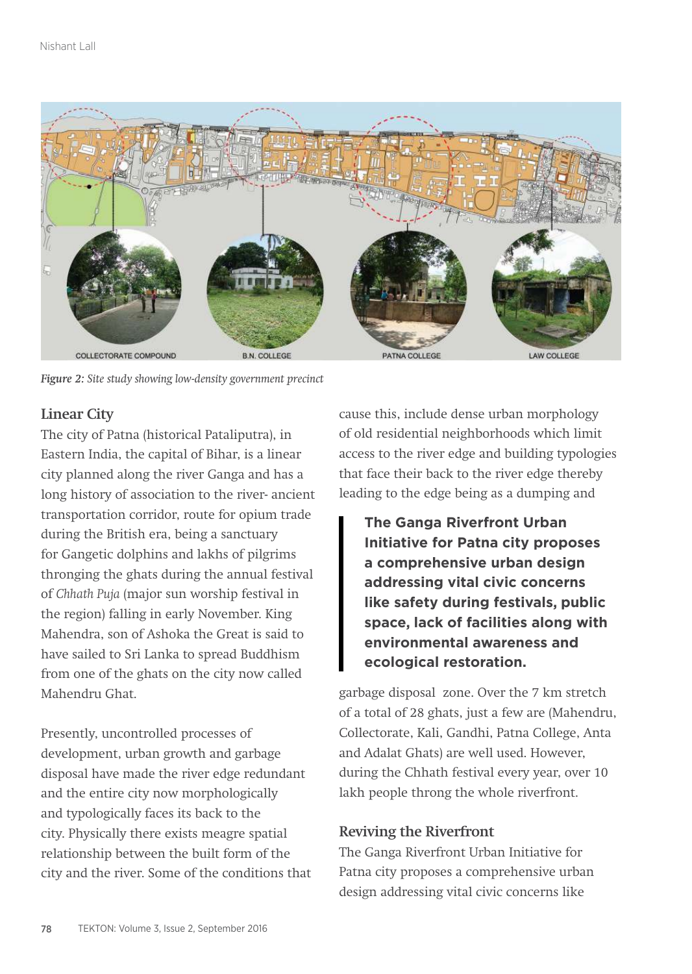

*Figure 2: Site study showing low-density government precinct*

## **Linear City**

The city of Patna (historical Pataliputra), in Eastern India, the capital of Bihar, is a linear city planned along the river Ganga and has a long history of association to the river- ancient transportation corridor, route for opium trade during the British era, being a sanctuary for Gangetic dolphins and lakhs of pilgrims thronging the ghats during the annual festival of *Chhath Puja* (major sun worship festival in the region) falling in early November. King Mahendra, son of Ashoka the Great is said to have sailed to Sri Lanka to spread Buddhism from one of the ghats on the city now called Mahendru Ghat.

Presently, uncontrolled processes of development, urban growth and garbage disposal have made the river edge redundant and the entire city now morphologically and typologically faces its back to the city. Physically there exists meagre spatial relationship between the built form of the city and the river. Some of the conditions that cause this, include dense urban morphology of old residential neighborhoods which limit access to the river edge and building typologies that face their back to the river edge thereby leading to the edge being as a dumping and

**The Ganga Riverfront Urban Initiative for Patna city proposes a comprehensive urban design addressing vital civic concerns like safety during festivals, public space, lack of facilities along with environmental awareness and ecological restoration.** 

garbage disposal zone. Over the 7 km stretch of a total of 28 ghats, just a few are (Mahendru, Collectorate, Kali, Gandhi, Patna College, Anta and Adalat Ghats) are well used. However, during the Chhath festival every year, over 10 lakh people throng the whole riverfront.

## **Reviving the Riverfront**

The Ganga Riverfront Urban Initiative for Patna city proposes a comprehensive urban design addressing vital civic concerns like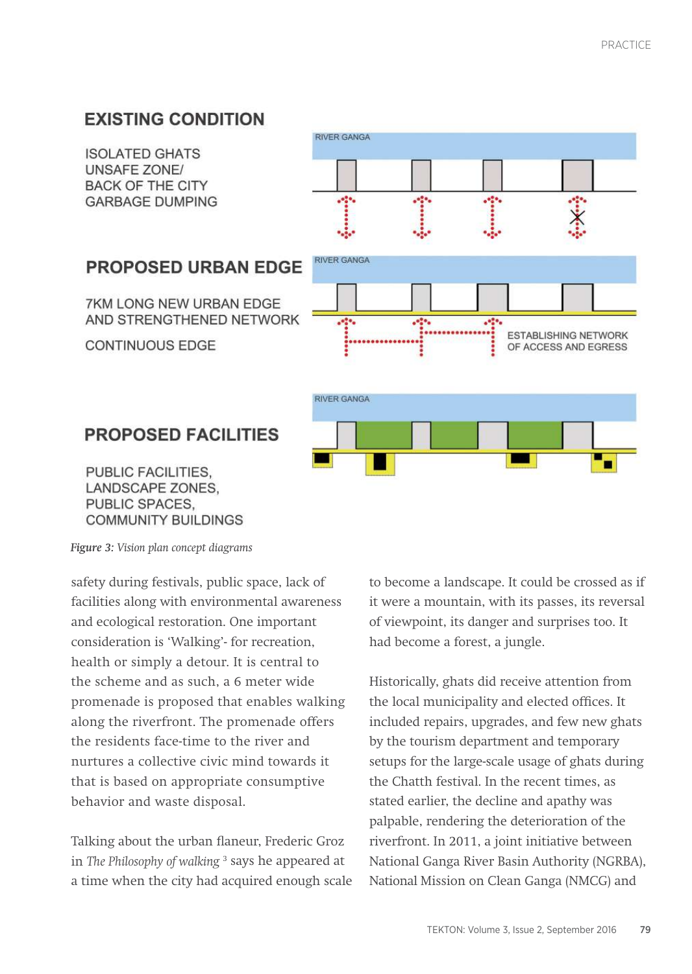# **EXISTING CONDITION**

**ISOLATED GHATS UNSAFF ZONE/ BACK OF THE CITY GARBAGE DUMPING** 

**CONTINUOUS EDGE** 



# **PROPOSED FACILITIES**

PUBLIC FACILITIES. LANDSCAPE ZONES. PUBLIC SPACES, **COMMUNITY BUILDINGS** 

*Figure 3: Vision plan concept diagrams*

safety during festivals, public space, lack of facilities along with environmental awareness and ecological restoration. One important consideration is 'Walking'- for recreation, health or simply a detour. It is central to the scheme and as such, a 6 meter wide promenade is proposed that enables walking along the riverfront. The promenade offers the residents face-time to the river and nurtures a collective civic mind towards it that is based on appropriate consumptive behavior and waste disposal.

Talking about the urban flaneur, Frederic Groz in *The Philosophy of walking* <sup>3</sup> says he appeared at a time when the city had acquired enough scale to become a landscape. It could be crossed as if it were a mountain, with its passes, its reversal of viewpoint, its danger and surprises too. It had become a forest, a jungle.

Historically, ghats did receive attention from the local municipality and elected offices. It included repairs, upgrades, and few new ghats by the tourism department and temporary setups for the large-scale usage of ghats during the Chatth festival. In the recent times, as stated earlier, the decline and apathy was palpable, rendering the deterioration of the riverfront. In 2011, a joint initiative between National Ganga River Basin Authority (NGRBA), National Mission on Clean Ganga (NMCG) and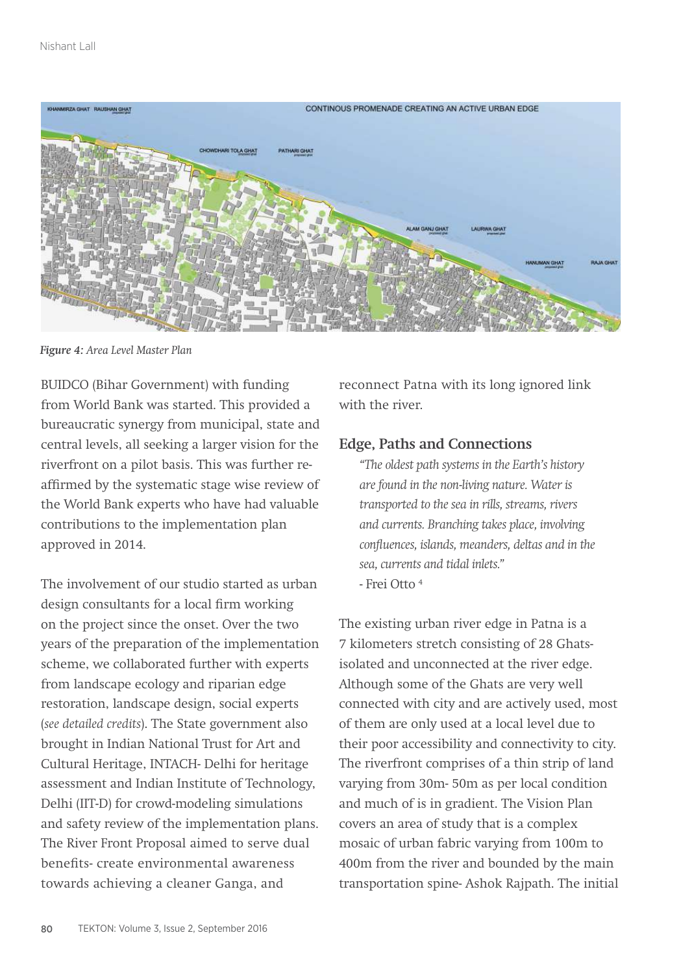

*Figure 4: Area Level Master Plan*

BUIDCO (Bihar Government) with funding from World Bank was started. This provided a bureaucratic synergy from municipal, state and central levels, all seeking a larger vision for the riverfront on a pilot basis. This was further reaffirmed by the systematic stage wise review of the World Bank experts who have had valuable contributions to the implementation plan approved in 2014.

The involvement of our studio started as urban design consultants for a local firm working on the project since the onset. Over the two years of the preparation of the implementation scheme, we collaborated further with experts from landscape ecology and riparian edge restoration, landscape design, social experts (*see detailed credits*). The State government also brought in Indian National Trust for Art and Cultural Heritage, INTACH- Delhi for heritage assessment and Indian Institute of Technology, Delhi (IIT-D) for crowd-modeling simulations and safety review of the implementation plans. The River Front Proposal aimed to serve dual benefits- create environmental awareness towards achieving a cleaner Ganga, and

reconnect Patna with its long ignored link with the river.

#### **Edge, Paths and Connections**

*"The oldest path systems in the Earth's history are found in the non-living nature. Water is transported to the sea in rills, streams, rivers and currents. Branching takes place, involving confluences, islands, meanders, deltas and in the sea, currents and tidal inlets."* - Frei Otto 4

The existing urban river edge in Patna is a 7 kilometers stretch consisting of 28 Ghatsisolated and unconnected at the river edge. Although some of the Ghats are very well connected with city and are actively used, most of them are only used at a local level due to their poor accessibility and connectivity to city. The riverfront comprises of a thin strip of land varying from 30m- 50m as per local condition and much of is in gradient. The Vision Plan covers an area of study that is a complex mosaic of urban fabric varying from 100m to 400m from the river and bounded by the main transportation spine- Ashok Rajpath. The initial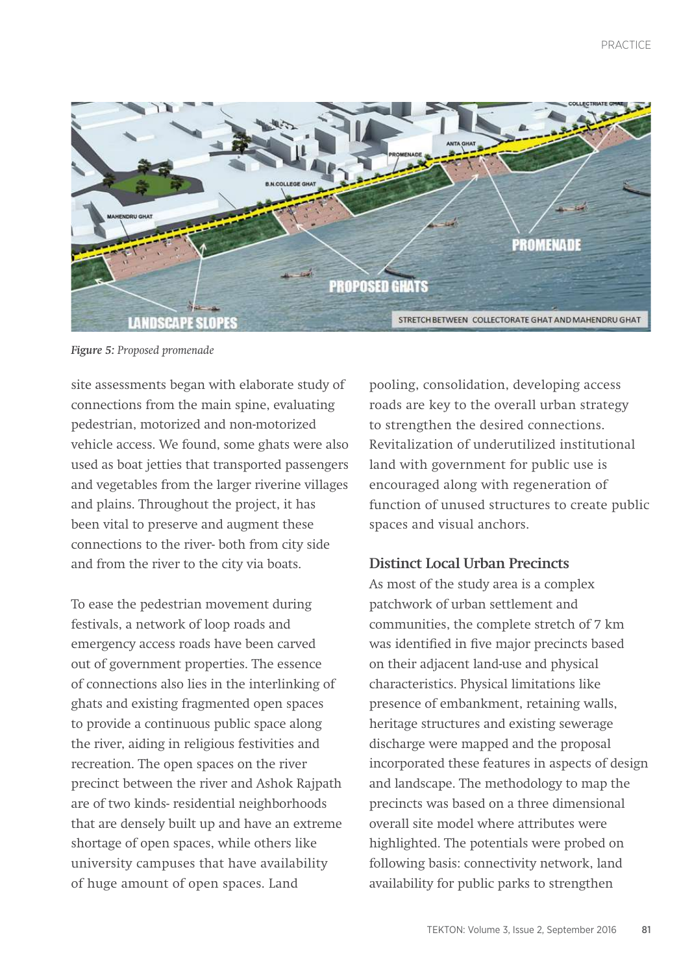

*Figure 5: Proposed promenade*

site assessments began with elaborate study of connections from the main spine, evaluating pedestrian, motorized and non-motorized vehicle access. We found, some ghats were also used as boat jetties that transported passengers and vegetables from the larger riverine villages and plains. Throughout the project, it has been vital to preserve and augment these connections to the river- both from city side and from the river to the city via boats.

To ease the pedestrian movement during festivals, a network of loop roads and emergency access roads have been carved out of government properties. The essence of connections also lies in the interlinking of ghats and existing fragmented open spaces to provide a continuous public space along the river, aiding in religious festivities and recreation. The open spaces on the river precinct between the river and Ashok Rajpath are of two kinds- residential neighborhoods that are densely built up and have an extreme shortage of open spaces, while others like university campuses that have availability of huge amount of open spaces. Land

pooling, consolidation, developing access roads are key to the overall urban strategy to strengthen the desired connections. Revitalization of underutilized institutional land with government for public use is encouraged along with regeneration of function of unused structures to create public spaces and visual anchors.

#### **Distinct Local Urban Precincts**

As most of the study area is a complex patchwork of urban settlement and communities, the complete stretch of 7 km was identified in five major precincts based on their adjacent land-use and physical characteristics. Physical limitations like presence of embankment, retaining walls, heritage structures and existing sewerage discharge were mapped and the proposal incorporated these features in aspects of design and landscape. The methodology to map the precincts was based on a three dimensional overall site model where attributes were highlighted. The potentials were probed on following basis: connectivity network, land availability for public parks to strengthen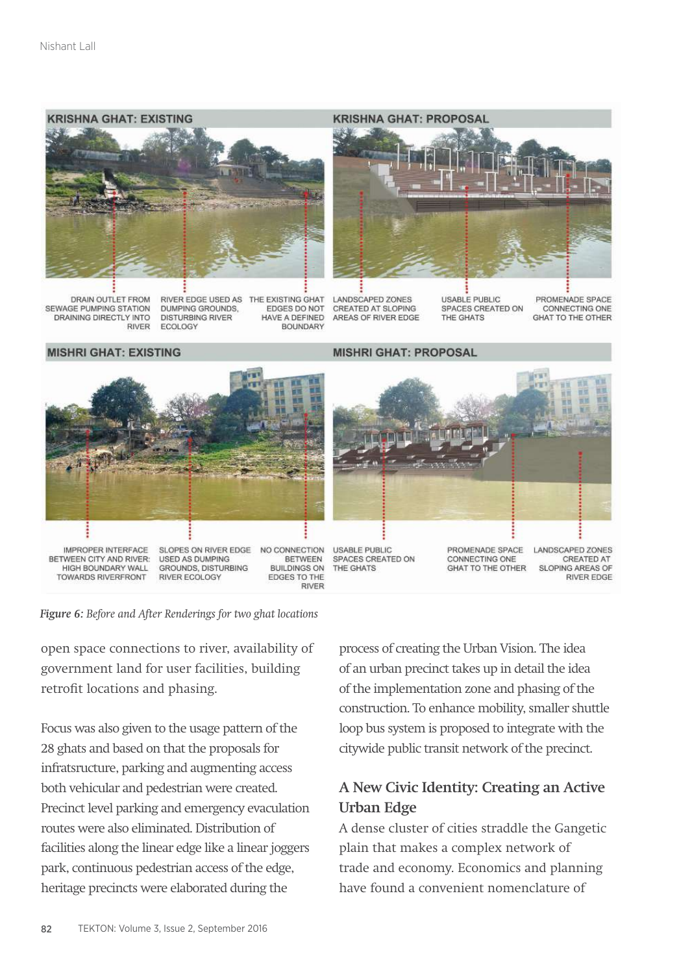

DRAIN OUTLET FROM SEWAGE PUMPING STATION DRAINING DIRECTLY INTO **RIVER**  RIVER EDGE USED AS THE EXISTING GHAT DUMPING GROUNDS, EDGES DO NOT **DISTURBING RIVER** HAVE A DEFINED **ECOLOGY BOUNDARY** 

#### **KRISHNA GHAT: PROPOSAL**



**LANDSCAPED ZONES CREATED AT SLOPING** AREAS OF RIVER EDGE

**USABLE PUBLIC** SPACES CREATED ON THE GHATS

PROMENADE SPACE CONNECTING ONE **GHAT TO THE OTHER** 

#### **MISHRI GHAT: EXISTING**

**MISHRI GHAT: PROPOSAL** 



*Figure 6: Before and After Renderings for two ghat locations*

open space connections to river, availability of government land for user facilities, building retrofit locations and phasing.

Focus was also given to the usage pattern of the 28 ghats and based on that the proposals for infratsructure, parking and augmenting access both vehicular and pedestrian were created. Precinct level parking and emergency evaculation routes were also eliminated. Distribution of facilities along the linear edge like a linear joggers park, continuous pedestrian access of the edge, heritage precincts were elaborated during the

process of creating the Urban Vision. The idea of an urban precinct takes up in detail the idea of the implementation zone and phasing of the construction. To enhance mobility, smaller shuttle loop bus system is proposed to integrate with the citywide public transit network of the precinct.

# **A New Civic Identity: Creating an Active Urban Edge**

A dense cluster of cities straddle the Gangetic plain that makes a complex network of trade and economy. Economics and planning have found a convenient nomenclature of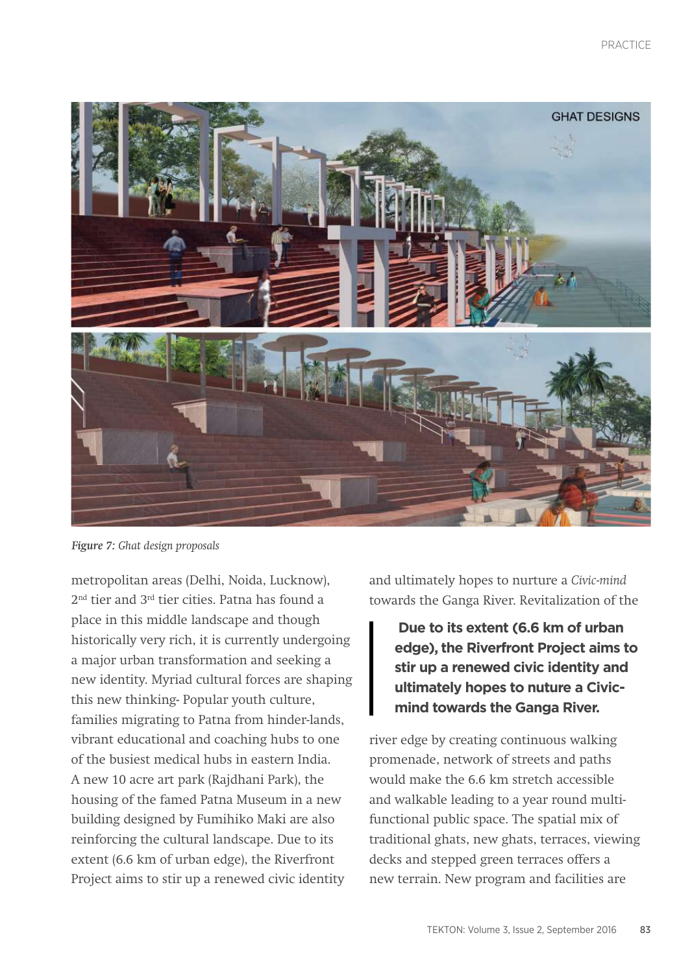

*Figure 7: Ghat design proposals*

metropolitan areas (Delhi, Noida, Lucknow), 2nd tier and 3rd tier cities. Patna has found a place in this middle landscape and though historically very rich, it is currently undergoing a major urban transformation and seeking a new identity. Myriad cultural forces are shaping this new thinking- Popular youth culture, families migrating to Patna from hinder-lands, vibrant educational and coaching hubs to one of the busiest medical hubs in eastern India. A new 10 acre art park (Rajdhani Park), the housing of the famed Patna Museum in a new building designed by Fumihiko Maki are also reinforcing the cultural landscape. Due to its extent (6.6 km of urban edge), the Riverfront Project aims to stir up a renewed civic identity

and ultimately hopes to nurture a *Civic-mind* towards the Ganga River. Revitalization of the

 **Due to its extent (6.6 km of urban edge), the Riverfront Project aims to stir up a renewed civic identity and ultimately hopes to nuture a Civicmind towards the Ganga River.** 

river edge by creating continuous walking promenade, network of streets and paths would make the 6.6 km stretch accessible and walkable leading to a year round multifunctional public space. The spatial mix of traditional ghats, new ghats, terraces, viewing decks and stepped green terraces offers a new terrain. New program and facilities are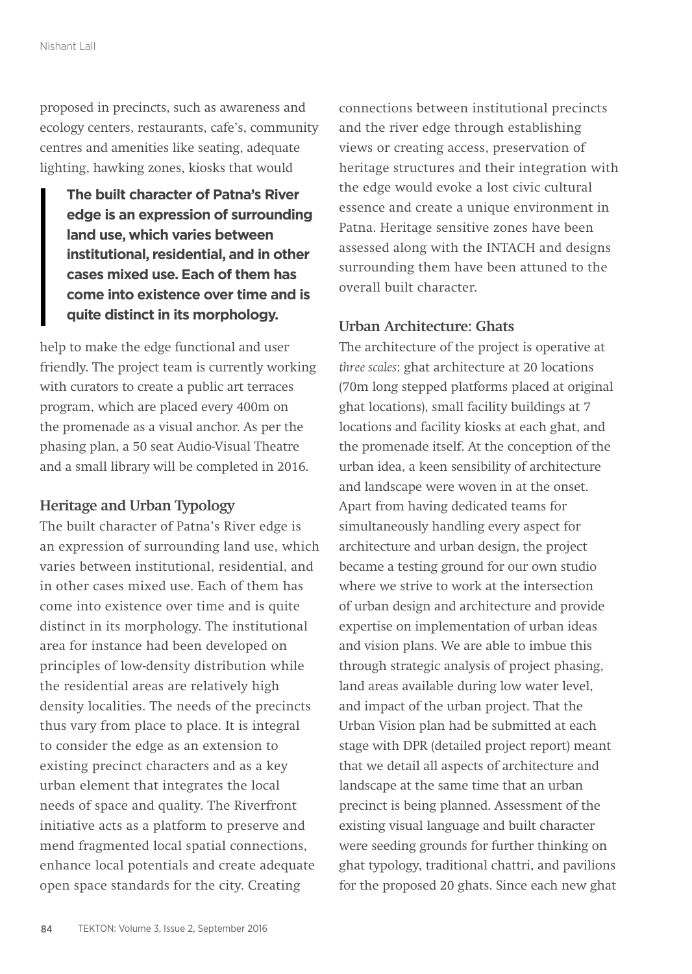proposed in precincts, such as awareness and ecology centers, restaurants, cafe's, community centres and amenities like seating, adequate lighting, hawking zones, kiosks that would

**The built character of Patna's River edge is an expression of surrounding land use, which varies between institutional, residential, and in other cases mixed use. Each of them has come into existence over time and is quite distinct in its morphology.** 

help to make the edge functional and user friendly. The project team is currently working with curators to create a public art terraces program, which are placed every 400m on the promenade as a visual anchor. As per the phasing plan, a 50 seat Audio-Visual Theatre and a small library will be completed in 2016.

#### **Heritage and Urban Typology**

The built character of Patna's River edge is an expression of surrounding land use, which varies between institutional, residential, and in other cases mixed use. Each of them has come into existence over time and is quite distinct in its morphology. The institutional area for instance had been developed on principles of low-density distribution while the residential areas are relatively high density localities. The needs of the precincts thus vary from place to place. It is integral to consider the edge as an extension to existing precinct characters and as a key urban element that integrates the local needs of space and quality. The Riverfront initiative acts as a platform to preserve and mend fragmented local spatial connections, enhance local potentials and create adequate open space standards for the city. Creating

connections between institutional precincts and the river edge through establishing views or creating access, preservation of heritage structures and their integration with the edge would evoke a lost civic cultural essence and create a unique environment in Patna. Heritage sensitive zones have been assessed along with the INTACH and designs surrounding them have been attuned to the overall built character.

#### **Urban Architecture: Ghats**

The architecture of the project is operative at *three scales*: ghat architecture at 20 locations (70m long stepped platforms placed at original ghat locations), small facility buildings at 7 locations and facility kiosks at each ghat, and the promenade itself. At the conception of the urban idea, a keen sensibility of architecture and landscape were woven in at the onset. Apart from having dedicated teams for simultaneously handling every aspect for architecture and urban design, the project became a testing ground for our own studio where we strive to work at the intersection of urban design and architecture and provide expertise on implementation of urban ideas and vision plans. We are able to imbue this through strategic analysis of project phasing, land areas available during low water level, and impact of the urban project. That the Urban Vision plan had be submitted at each stage with DPR (detailed project report) meant that we detail all aspects of architecture and landscape at the same time that an urban precinct is being planned. Assessment of the existing visual language and built character were seeding grounds for further thinking on ghat typology, traditional chattri, and pavilions for the proposed 20 ghats. Since each new ghat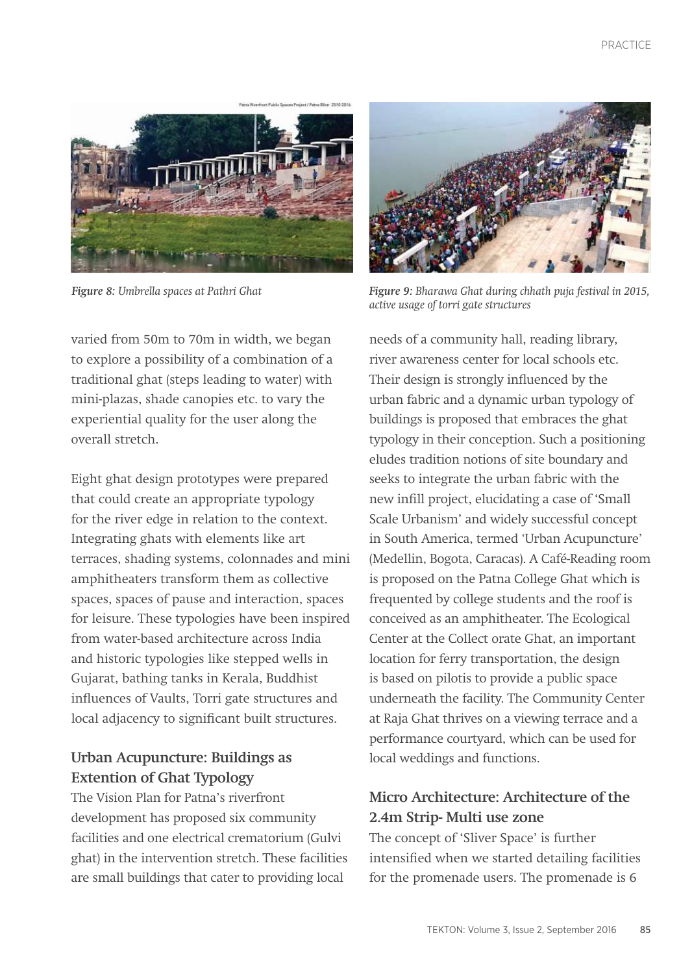

varied from 50m to 70m in width, we began to explore a possibility of a combination of a traditional ghat (steps leading to water) with mini-plazas, shade canopies etc. to vary the experiential quality for the user along the overall stretch.

Eight ghat design prototypes were prepared that could create an appropriate typology for the river edge in relation to the context. Integrating ghats with elements like art terraces, shading systems, colonnades and mini amphitheaters transform them as collective spaces, spaces of pause and interaction, spaces for leisure. These typologies have been inspired from water-based architecture across India and historic typologies like stepped wells in Gujarat, bathing tanks in Kerala, Buddhist influences of Vaults, Torri gate structures and local adjacency to significant built structures.

# **Urban Acupuncture: Buildings as Extention of Ghat Typology**

The Vision Plan for Patna's riverfront development has proposed six community facilities and one electrical crematorium (Gulvi ghat) in the intervention stretch. These facilities are small buildings that cater to providing local



*Figure 8: Umbrella spaces at Pathri Ghat Figure 9: Bharawa Ghat during chhath puja festival in 2015, active usage of torri gate structures*

needs of a community hall, reading library, river awareness center for local schools etc. Their design is strongly influenced by the urban fabric and a dynamic urban typology of buildings is proposed that embraces the ghat typology in their conception. Such a positioning eludes tradition notions of site boundary and seeks to integrate the urban fabric with the new infill project, elucidating a case of 'Small Scale Urbanism' and widely successful concept in South America, termed 'Urban Acupuncture' (Medellin, Bogota, Caracas). A Café-Reading room is proposed on the Patna College Ghat which is frequented by college students and the roof is conceived as an amphitheater. The Ecological Center at the Collect orate Ghat, an important location for ferry transportation, the design is based on pilotis to provide a public space underneath the facility. The Community Center at Raja Ghat thrives on a viewing terrace and a performance courtyard, which can be used for local weddings and functions.

# **Micro Architecture: Architecture of the 2.4m Strip- Multi use zone**

The concept of 'Sliver Space' is further intensified when we started detailing facilities for the promenade users. The promenade is 6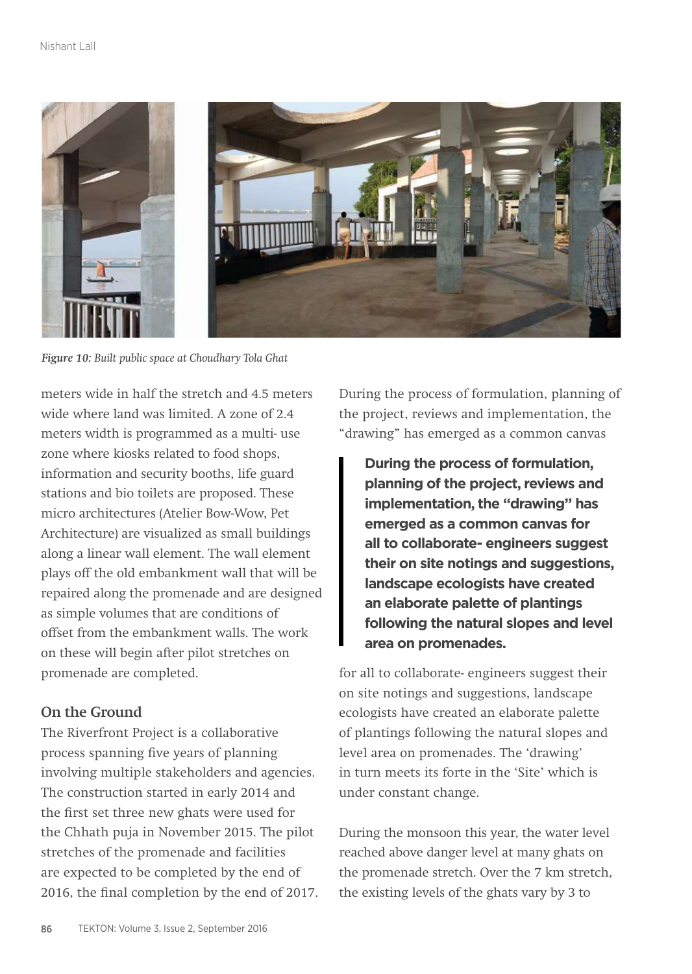

*Figure 10: Built public space at Choudhary Tola Ghat*

meters wide in half the stretch and 4.5 meters wide where land was limited. A zone of 2.4 meters width is programmed as a multi- use zone where kiosks related to food shops, information and security booths, life guard stations and bio toilets are proposed. These micro architectures (Atelier Bow-Wow, Pet Architecture) are visualized as small buildings along a linear wall element. The wall element plays off the old embankment wall that will be repaired along the promenade and are designed as simple volumes that are conditions of offset from the embankment walls. The work on these will begin after pilot stretches on promenade are completed.

## **On the Ground**

The Riverfront Project is a collaborative process spanning five years of planning involving multiple stakeholders and agencies. The construction started in early 2014 and the first set three new ghats were used for the Chhath puja in November 2015. The pilot stretches of the promenade and facilities are expected to be completed by the end of 2016, the final completion by the end of 2017. During the process of formulation, planning of the project, reviews and implementation, the "drawing" has emerged as a common canvas

**During the process of formulation, planning of the project, reviews and implementation, the "drawing" has emerged as a common canvas for all to collaborate- engineers suggest their on site notings and suggestions, landscape ecologists have created an elaborate palette of plantings following the natural slopes and level area on promenades.** 

for all to collaborate- engineers suggest their on site notings and suggestions, landscape ecologists have created an elaborate palette of plantings following the natural slopes and level area on promenades. The 'drawing' in turn meets its forte in the 'Site' which is under constant change.

During the monsoon this year, the water level reached above danger level at many ghats on the promenade stretch. Over the 7 km stretch, the existing levels of the ghats vary by 3 to